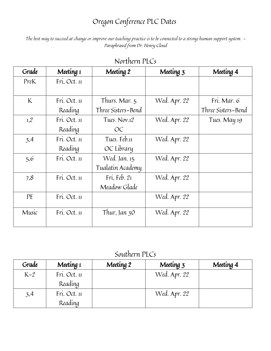## Oregon Conference PLC Dates

The best way to succeed at change or improve our teaching practice is to be connected to a strong human support system. - Paraphrased from Dr. Henry Cloud

| Fri, Oct. 11 |                    |              |                    |
|--------------|--------------------|--------------|--------------------|
|              |                    |              |                    |
|              |                    |              |                    |
| Fri. Oct. 11 | Thurs. Mar. 5      | Wed. Apr. 22 | Fri. Mar. 6        |
| Reading      | Three Sisters-Bend |              | Three Sisters-Bend |
| Fri. Oct. 11 | Tues. Nov.12       | Wed. Apr. 22 | Tues. May 19       |
| Reading      | OC                 |              |                    |
| Fri. Oct. 11 | Tues. Feb.11       | Wed. Apr. 22 |                    |
| Reading      | OC Library         |              |                    |
| Fri. Oct. 11 | Wed. Jan. 15       | Wed. Apr. 22 |                    |
|              | Tualatin Academy   |              |                    |
| Fri. Oct. 11 | Fri, Feb. 21       | Wed. Apr. 22 |                    |
|              | Meadow Glade       |              |                    |
| Fri. Oct. 11 |                    | Wed. Apr. 22 |                    |
| Fri. Oct. 11 | Thur, Jan $30$     | Wed. Apr. 22 |                    |
|              |                    |              |                    |

Northern PLCs

Southern PLCs

| Grade | Meeting 1    | Meeting 2 | Meeting 3    | Meeting 4 |
|-------|--------------|-----------|--------------|-----------|
| $K-2$ | Fri. Oct. 11 |           | Wed. Apr. 22 |           |
|       | Reading      |           |              |           |
| 3,4   | Fri. Oct. 11 |           | Wed. Apr. 22 |           |
|       | Reading      |           |              |           |